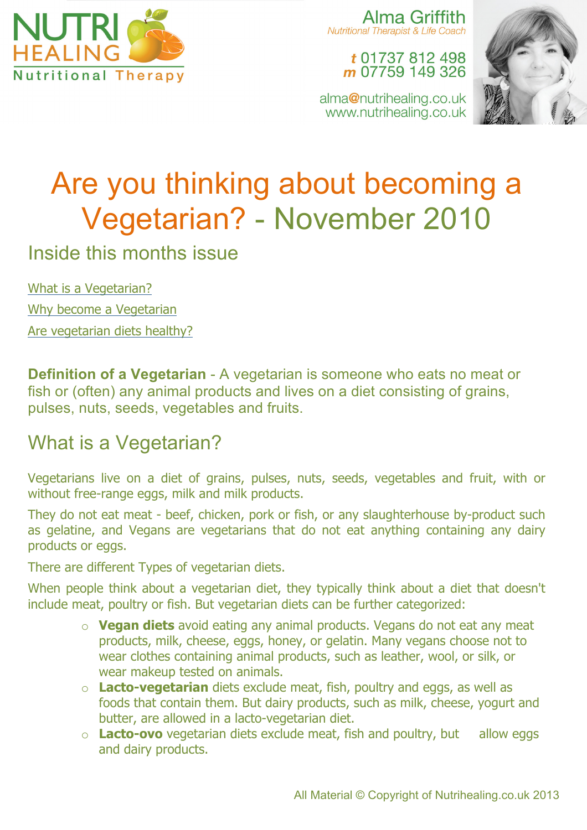

Alma Griffith **Nutritional Therapist & Life Coach** 

### t 01737 812 498 m 07759 149 326

alma@nutrihealing.co.uk www.nutrihealing.co.uk



# Are you thinking about becoming a Vegetarian? - November 2010

Inside this months issue

What is a Vegetarian? Why become a Vegetarian Are vegetarian diets healthy?

**Definition of a Vegetarian** - A vegetarian is someone who eats no meat or fish or (often) any animal products and lives on a diet consisting of grains, pulses, nuts, seeds, vegetables and fruits.

## What is a Vegetarian?

Vegetarians live on a diet of grains, pulses, nuts, seeds, vegetables and fruit, with or without free-range eggs, milk and milk products.

They do not eat meat - beef, chicken, pork or fish, or any slaughterhouse by-product such as gelatine, and Vegans are vegetarians that do not eat anything containing any dairy products or eggs.

There are different Types of vegetarian diets.

When people think about a vegetarian diet, they typically think about a diet that doesn't include meat, poultry or fish. But vegetarian diets can be further categorized:

- o **Vegan diets** avoid eating any animal products. Vegans do not eat any meat products, milk, cheese, eggs, honey, or gelatin. Many vegans choose not to wear clothes containing animal products, such as leather, wool, or silk, or wear makeup tested on animals.
- o **Lacto-vegetarian** diets exclude meat, fish, poultry and eggs, as well as foods that contain them. But dairy products, such as milk, cheese, yogurt and butter, are allowed in a lacto-vegetarian diet.
- o **Lacto-ovo** vegetarian diets exclude meat, fish and poultry, but allow eggs and dairy products.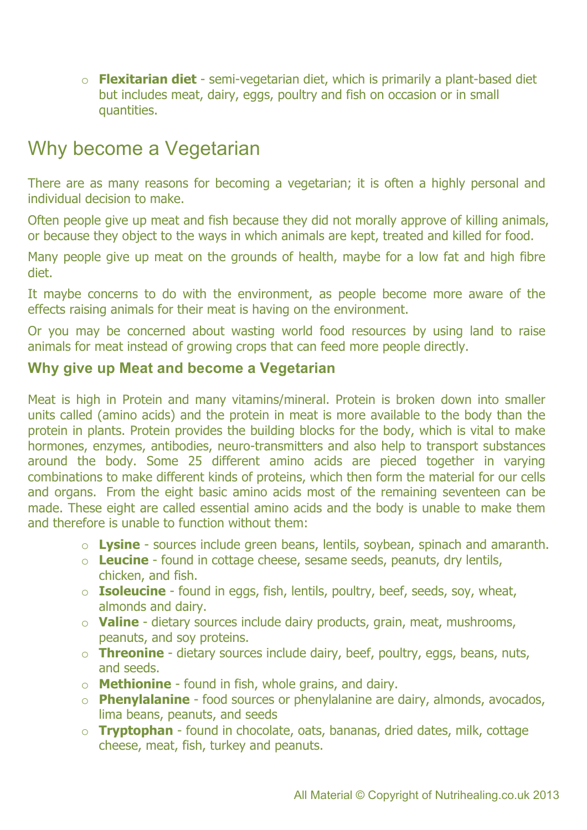o **Flexitarian diet** - semi-vegetarian diet, which is primarily a plant-based diet but includes meat, dairy, eggs, poultry and fish on occasion or in small quantities.

## Why become a Vegetarian

There are as many reasons for becoming a vegetarian; it is often a highly personal and individual decision to make.

Often people give up meat and fish because they did not morally approve of killing animals, or because they object to the ways in which animals are kept, treated and killed for food.

Many people give up meat on the grounds of health, maybe for a low fat and high fibre diet.

It maybe concerns to do with the environment, as people become more aware of the effects raising animals for their meat is having on the environment.

Or you may be concerned about wasting world food resources by using land to raise animals for meat instead of growing crops that can feed more people directly.

### **Why give up Meat and become a Vegetarian**

Meat is high in Protein and many vitamins/mineral. Protein is broken down into smaller units called (amino acids) and the protein in meat is more available to the body than the protein in plants. Protein provides the building blocks for the body, which is vital to make hormones, enzymes, antibodies, neuro-transmitters and also help to transport substances around the body. Some 25 different amino acids are pieced together in varying combinations to make different kinds of proteins, which then form the material for our cells and organs. From the eight basic amino acids most of the remaining seventeen can be made. These eight are called essential amino acids and the body is unable to make them and therefore is unable to function without them:

- o **Lysine** sources include green beans, lentils, soybean, spinach and amaranth.
- o **Leucine** found in cottage cheese, sesame seeds, peanuts, dry lentils, chicken, and fish.
- o **Isoleucine** found in eggs, fish, lentils, poultry, beef, seeds, soy, wheat, almonds and dairy.
- o **Valine** dietary sources include dairy products, grain, meat, mushrooms, peanuts, and soy proteins.
- o **Threonine** dietary sources include dairy, beef, poultry, eggs, beans, nuts, and seeds.
- o **Methionine** found in fish, whole grains, and dairy.
- o **Phenylalanine** food sources or phenylalanine are dairy, almonds, avocados, lima beans, peanuts, and seeds
- o **Tryptophan** found in chocolate, oats, bananas, dried dates, milk, cottage cheese, meat, fish, turkey and peanuts.